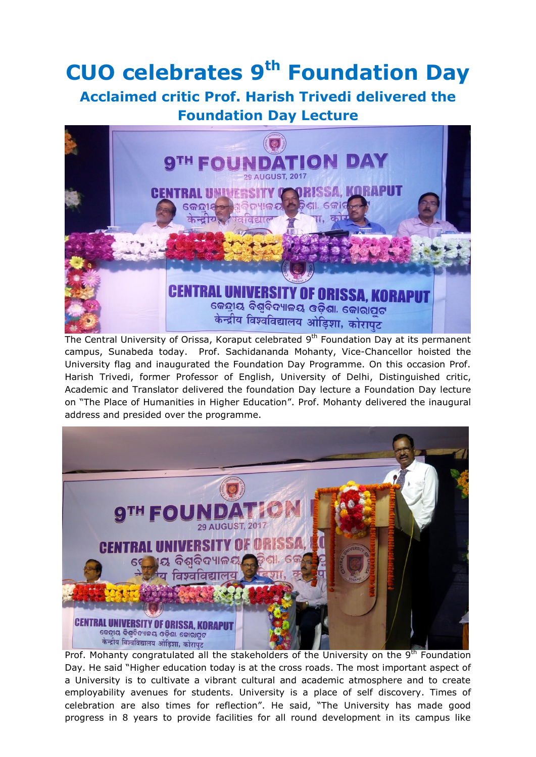## **CUO celebrates 9 th Foundation Day**

## **Acclaimed critic Prof. Harish Trivedi delivered the Foundation Day Lecture**



The Central University of Orissa, Koraput celebrated 9<sup>th</sup> Foundation Day at its permanent campus, Sunabeda today. Prof. Sachidananda Mohanty, Vice-Chancellor hoisted the University flag and inaugurated the Foundation Day Programme. On this occasion Prof. Harish Trivedi, former Professor of English, University of Delhi, Distinguished critic, Academic and Translator delivered the foundation Day lecture a Foundation Day lecture on "The Place of Humanities in Higher Education". Prof. Mohanty delivered the inaugural address and presided over the programme.



Prof. Mohanty congratulated all the stakeholders of the University on the 9<sup>th</sup> Foundation Day. He said "Higher education today is at the cross roads. The most important aspect of a University is to cultivate a vibrant cultural and academic atmosphere and to create employability avenues for students. University is a place of self discovery. Times of celebration are also times for reflection". He said, "The University has made good progress in 8 years to provide facilities for all round development in its campus like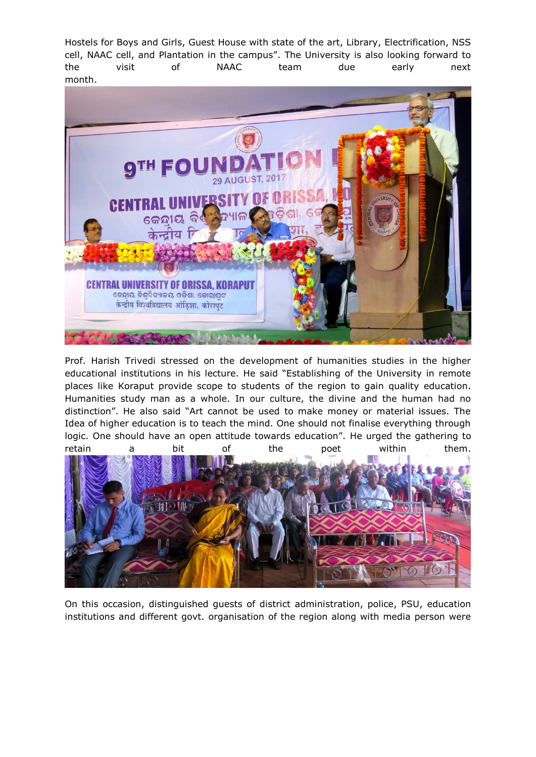Hostels for Boys and Girls, Guest House with state of the art, Library, Electrification, NSS cell, NAAC cell, and Plantation in the campus". The University is also looking forward to the visit of NAAC team due early next month.



Prof. Harish Trivedi stressed on the development of humanities studies in the higher educational institutions in his lecture. He said "Establishing of the University in remote places like Koraput provide scope to students of the region to gain quality education. Humanities study man as a whole. In our culture, the divine and the human had no distinction". He also said "Art cannot be used to make money or material issues. The Idea of higher education is to teach the mind. One should not finalise everything through logic. One should have an open attitude towards education". He urged the gathering to retain a bit of the poet within them.



On this occasion, distinguished guests of district administration, police, PSU, education institutions and different govt. organisation of the region along with media person were